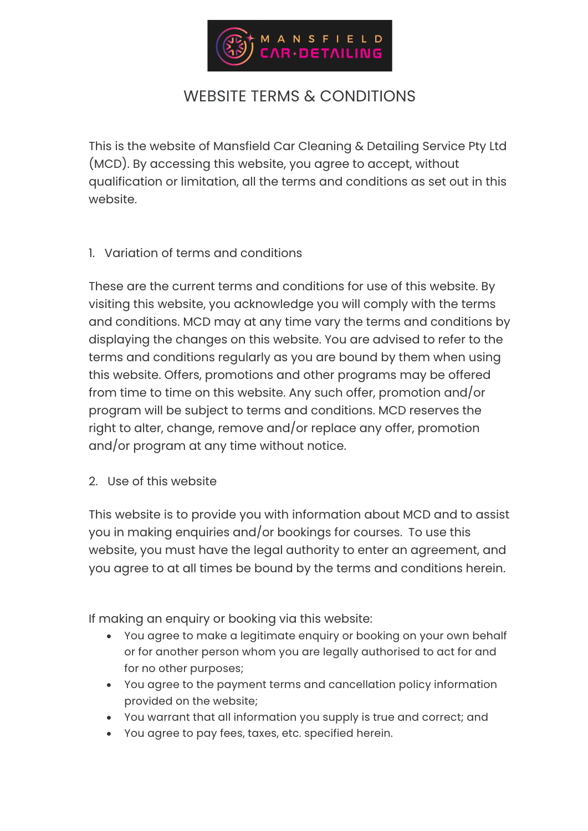

# WEBSITE TERMS & CONDITIONS

This is the website of Mansfield Car Cleaning & Detailing Service Pty Ltd (MCD). By accessing this website, you agree to accept, without qualification or limitation, all the terms and conditions as set out in this website.

#### 1. Variation of terms and conditions

These are the current terms and conditions for use of this website. By visiting this website, you acknowledge you will comply with the terms and conditions. MCD may at any time vary the terms and conditions by displaying the changes on this website. You are advised to refer to the terms and conditions regularly as you are bound by them when using this website. Offers, promotions and other programs may be offered from time to time on this website. Any such offer, promotion and/or program will be subject to terms and conditions. MCD reserves the right to alter, change, remove and/or replace any offer, promotion and/or program at any time without notice.

2. Use of this website

This website is to provide you with information about MCD and to assist you in making enquiries and/or bookings for courses. To use this website, you must have the legal authority to enter an agreement, and you agree to at all times be bound by the terms and conditions herein.

If making an enquiry or booking via this website:

- You agree to make a legitimate enquiry or booking on your own behalf or for another person whom you are legally authorised to act for and for no other purposes;
- You agree to the payment terms and cancellation policy information provided on the website;
- You warrant that all information you supply is true and correct; and
- You agree to pay fees, taxes, etc. specified herein.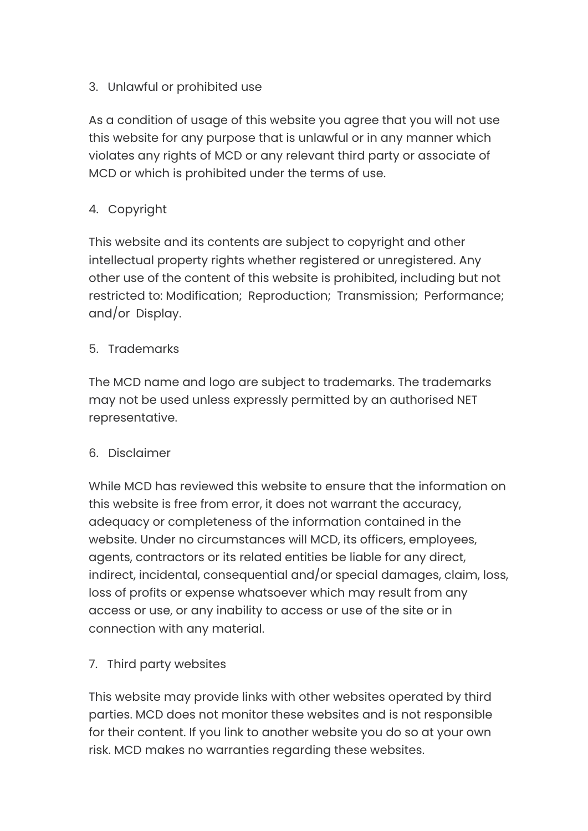### 3. Unlawful or prohibited use

As a condition of usage of this website you agree that you will not use this website for any purpose that is unlawful or in any manner which violates any rights of MCD or any relevant third party or associate of MCD or which is prohibited under the terms of use.

# 4. Copyright

This website and its contents are subject to copyright and other intellectual property rights whether registered or unregistered. Any other use of the content of this website is prohibited, including but not restricted to: Modification; Reproduction; Transmission; Performance; and/or Display.

#### 5. Trademarks

The MCD name and logo are subject to trademarks. The trademarks may not be used unless expressly permitted by an authorised NET representative.

# 6. Disclaimer

While MCD has reviewed this website to ensure that the information on this website is free from error, it does not warrant the accuracy, adequacy or completeness of the information contained in the website. Under no circumstances will MCD, its officers, employees, agents, contractors or its related entities be liable for any direct, indirect, incidental, consequential and/or special damages, claim, loss, loss of profits or expense whatsoever which may result from any access or use, or any inability to access or use of the site or in connection with any material.

# 7. Third party websites

This website may provide links with other websites operated by third parties. MCD does not monitor these websites and is not responsible for their content. If you link to another website you do so at your own risk. MCD makes no warranties regarding these websites.